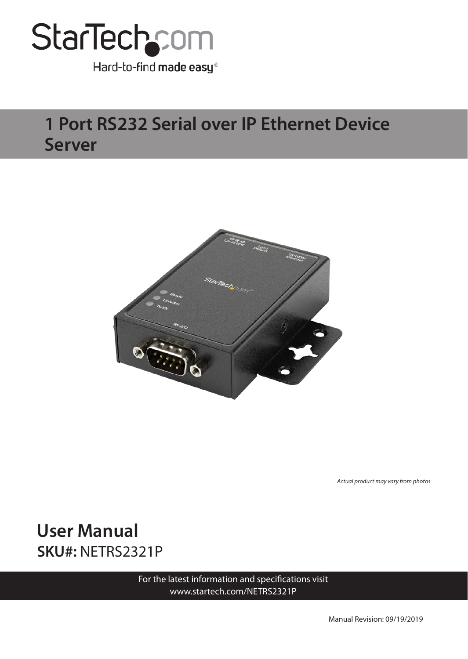

Hard-to-find made easy®

### **1 Port RS232 Serial over IP Ethernet Device Server**



*Actual product may vary from photos*

**User Manual SKU#:** NETRS2321P

> For the latest information and specifications visit [www.startech.com/NETRS2321P](http://www.startech.com/NETRS2321P)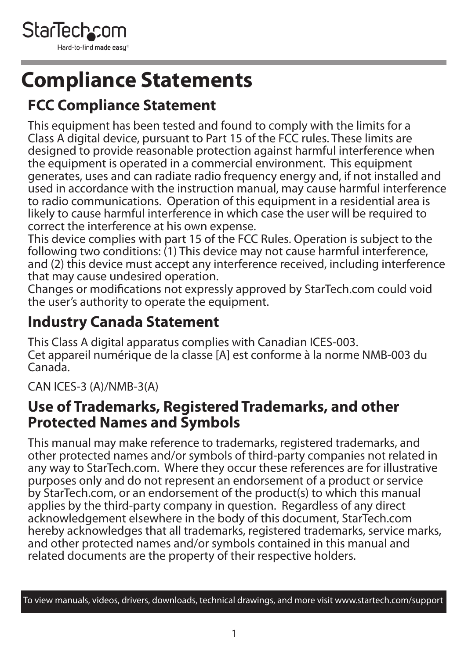<span id="page-1-0"></span>

## **Compliance Statements**

#### **FCC Compliance Statement**

This equipment has been tested and found to comply with the limits for a Class A digital device, pursuant to Part 15 of the FCC rules. These limits are designed to provide reasonable protection against harmful interference when the equipment is operated in a commercial environment. This equipment generates, uses and can radiate radio frequency energy and, if not installed and used in accordance with the instruction manual, may cause harmful interference to radio communications. Operation of this equipment in a residential area is likely to cause harmful interference in which case the user will be required to correct the interference at his own expense.

This device complies with part 15 of the FCC Rules. Operation is subject to the following two conditions: (1) This device may not cause harmful interference, and (2) this device must accept any interference received, including interference that may cause undesired operation.

Changes or modifications not expressly approved by StarTech.com could void the user's authority to operate the equipment.

#### **Industry Canada Statement**

This Class A digital apparatus complies with Canadian ICES-003. Cet appareil numérique de la classe [A] est conforme à la norme NMB-003 du Canada.

CAN ICES-3 (A)/NMB-3(A)

#### **Use of Trademarks, Registered Trademarks, and other Protected Names and Symbols**

This manual may make reference to trademarks, registered trademarks, and other protected names and/or symbols of third-party companies not related in any way to StarTech.com. Where they occur these references are for illustrative purposes only and do not represent an endorsement of a product or service by StarTech.com, or an endorsement of the product(s) to which this manual applies by the third-party company in question. Regardless of any direct acknowledgement elsewhere in the body of this document, StarTech.com hereby acknowledges that all trademarks, registered trademarks, service marks, and other protected names and/or symbols contained in this manual and related documents are the property of their respective holders.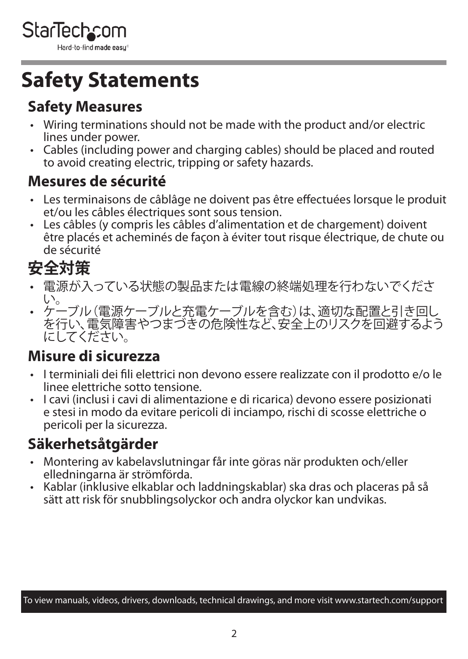<span id="page-2-0"></span>

## **Safety Statements**

#### **Safety Measures**

- Wiring terminations should not be made with the product and/or electric lines under power.
- Cables (including power and charging cables) should be placed and routed to avoid creating electric, tripping or safety hazards.

#### **Mesures de sécurité**

- Les terminaisons de câblâge ne doivent pas être effectuées lorsque le produit et/ou les câbles électriques sont sous tension.
- Les câbles (y compris les câbles d'alimentation et de chargement) doivent être placés et acheminés de façon à éviter tout risque électrique, de chute ou de sécurité

### **安全対策**

- 電源が入っている状態の製品または電線の終端処理を行わないでくださ い。
- • ケーブル(電源ケーブルと充電ケーブルを含む)は、適切な配置と引き回し を行い、電気障害やつまづきの危険性など、安全上のリスクを回避するよう にしてください。

#### **Misure di sicurezza**

- I terminiali dei fili elettrici non devono essere realizzate con il prodotto e/o le linee elettriche sotto tensione.
- I cavi (inclusi i cavi di alimentazione e di ricarica) devono essere posizionati e stesi in modo da evitare pericoli di inciampo, rischi di scosse elettriche o pericoli per la sicurezza.

#### **Säkerhetsåtgärder**

- Montering av kabelavslutningar får inte göras när produkten och/eller elledningarna är strömförda.
- Kablar (inklusive elkablar och laddningskablar) ska dras och placeras på så sätt att risk för snubblingsolyckor och andra olyckor kan undvikas.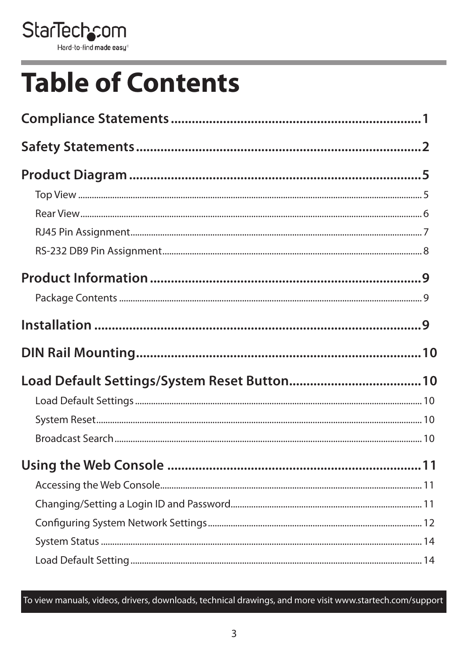

# **Table of Contents**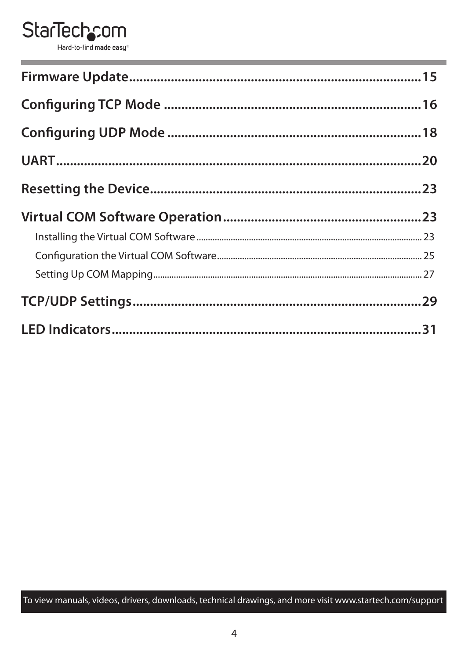#### **StarTechcom** Hard-to-find made easy<sup>®</sup>

| ,我们也不会有什么。""我们的人,我们也不会有什么?""我们的人,我们也不会有什么?""我们的人,我们也不会有什么?""我们的人,我们也不会有什么?""我们的人 |  |
|----------------------------------------------------------------------------------|--|
|                                                                                  |  |
|                                                                                  |  |
|                                                                                  |  |
|                                                                                  |  |
|                                                                                  |  |
|                                                                                  |  |
|                                                                                  |  |
|                                                                                  |  |
|                                                                                  |  |
|                                                                                  |  |
|                                                                                  |  |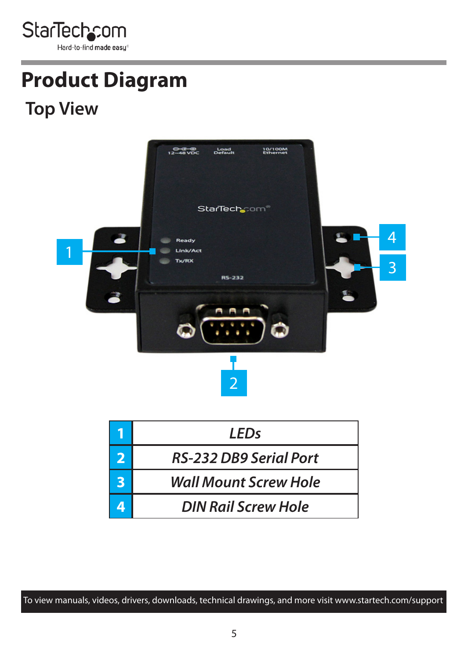<span id="page-5-0"></span>

# **Product Diagram**

### **Top View**



| I FDs                         |
|-------------------------------|
| <b>RS-232 DB9 Serial Port</b> |
| <b>Wall Mount Screw Hole</b>  |
| DIN Rail Screw Hole           |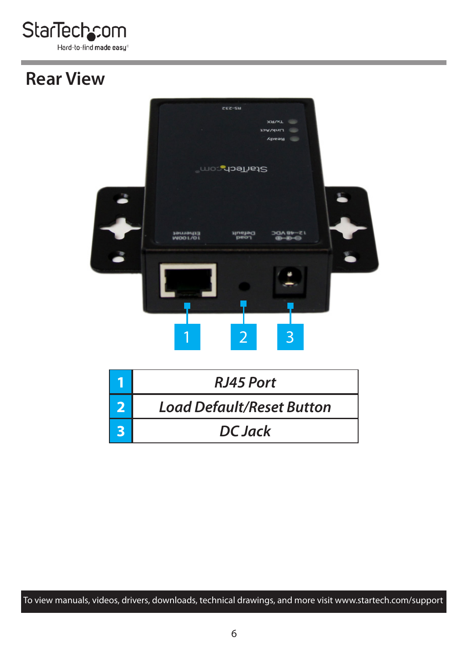<span id="page-6-0"></span>

### **Rear View**

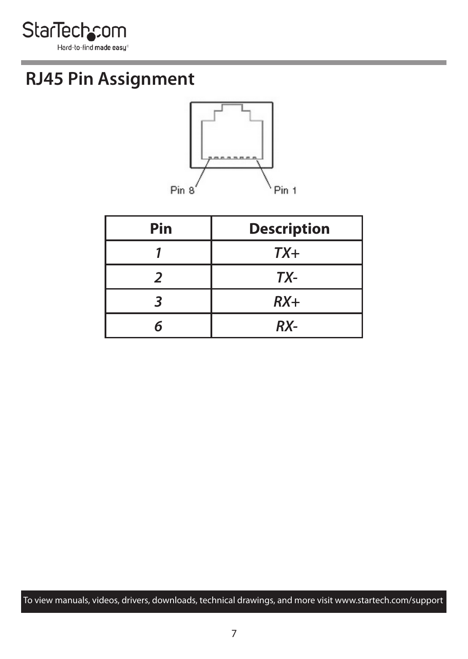<span id="page-7-0"></span>

### **RJ45 Pin Assignment**



| Pin | <b>Description</b> |
|-----|--------------------|
|     | $TX+$              |
|     | TX-                |
|     | $RX+$              |
|     | RX-                |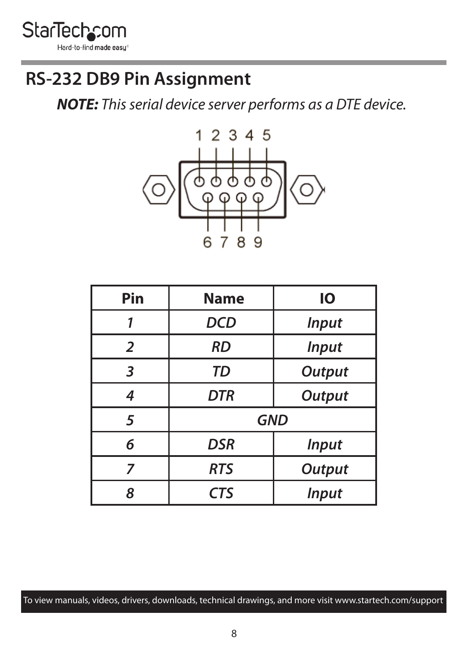<span id="page-8-0"></span>

### **RS-232 DB9 Pin Assignment**

*NOTE: This serial device server performs as a DTE device.*



| Pin            | <b>Name</b>                 | IО            |  |
|----------------|-----------------------------|---------------|--|
| 1              | DCD<br><b>Input</b>         |               |  |
| $\overline{2}$ | <b>RD</b><br><b>Input</b>   |               |  |
| 3              | TD                          | <b>Output</b> |  |
| 4              | <b>DTR</b>                  | <b>Output</b> |  |
| 5              | <b>GND</b>                  |               |  |
| 6              | <b>DSR</b>                  | <b>Input</b>  |  |
| 7              | <b>RTS</b><br><b>Output</b> |               |  |
| 8              | <b>CTS</b><br><b>Input</b>  |               |  |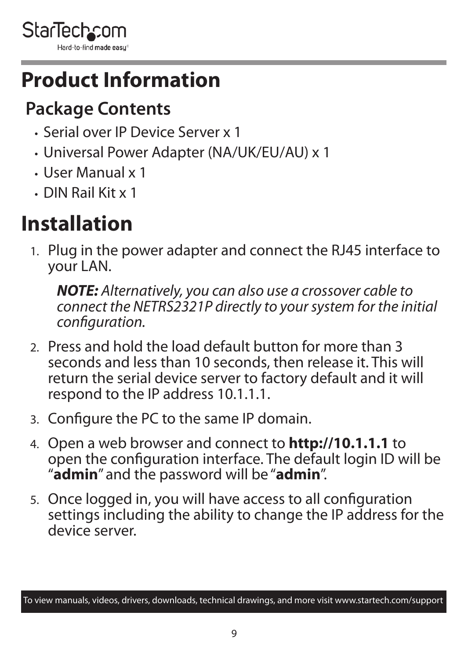<span id="page-9-0"></span>

## **Product Information**

## **Package Contents**

- Serial over IP Device Server x 1
- Universal Power Adapter (NA/UK/EU/AU) x 1
- User Manual x 1
- DIN Rail Kit x 1

## **Installation**

1. Plug in the power adapter and connect the RJ45 interface to your LAN.

*NOTE: Alternatively, you can also use a crossover cable to connect the NETRS2321P directly to your system for the initial configuration.*

- 2. Press and hold the load default button for more than 3 seconds and less than 10 seconds, then release it. This will return the serial device server to factory default and it will respond to the IP address 10.1.1.1.
- 3. Configure the PC to the same IP domain.
- 4. Open a web browser and connect to **http://10.1.1.1** to open the configuration interface. The default login ID will be "**admin**" and the password will be "**admin**".
- 5. Once logged in, you will have access to all configuration settings including the ability to change the IP address for the device server.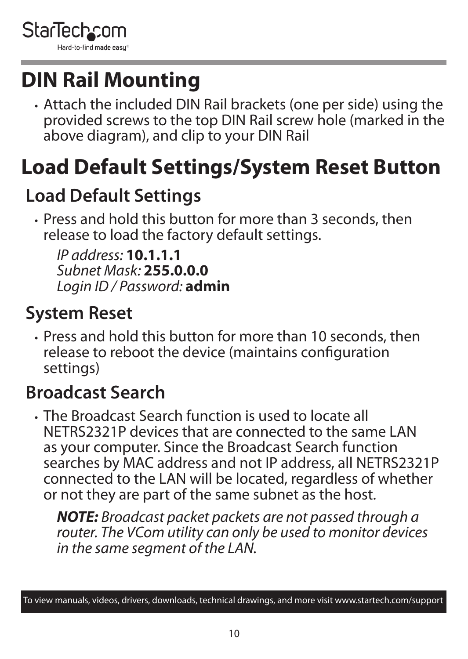<span id="page-10-0"></span>

## **DIN Rail Mounting**

• Attach the included DIN Rail brackets (one per side) using the provided screws to the top DIN Rail screw hole (marked in the above diagram), and clip to your DIN Rail

## **Load Default Settings/System Reset Button**

## **Load Default Settings**

• Press and hold this button for more than 3 seconds, then release to load the factory default settings.

*IP address:* **10.1.1.1**  *Subnet Mask:* **255.0.0.0**  *Login ID / Password:* **admin**

## **System Reset**

• Press and hold this button for more than 10 seconds, then release to reboot the device (maintains configuration settings)

### **Broadcast Search**

• The Broadcast Search function is used to locate all NETRS2321P devices that are connected to the same LAN as your computer. Since the Broadcast Search function searches by MAC address and not IP address, all NETRS2321P connected to the LAN will be located, regardless of whether or not they are part of the same subnet as the host.

*NOTE: Broadcast packet packets are not passed through a router. The VCom utility can only be used to monitor devices in the same segment of the LAN.*

To view manuals, videos, drivers, downloads, technical drawings, and more visit www.startech.com/support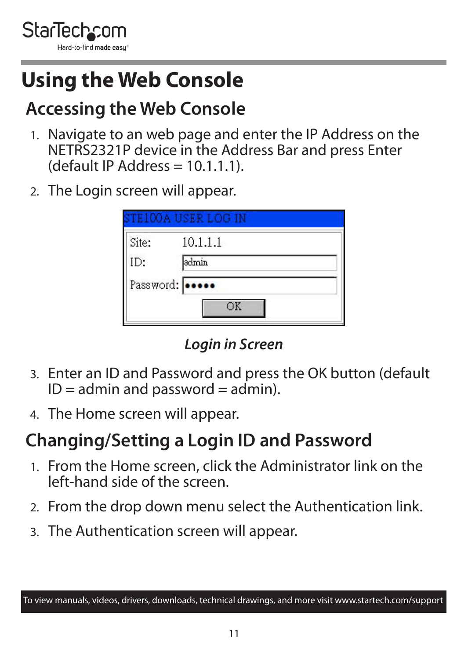<span id="page-11-0"></span>

## **Using the Web Console**

## **Accessing the Web Console**

- 1. Navigate to an web page and enter the IP Address on the NETRS2321P device in the Address Bar and press Enter  $(default IP Address = 10.1.1.1)$ .
- 2. The Login screen will appear.

| Site: | 10.1.1.1        |  |
|-------|-----------------|--|
| ID:   | admin           |  |
|       | Password: 00000 |  |

*Login in Screen*

- 3. Enter an ID and Password and press the OK button (default  $ID =$  admin and password  $=$  admin).
- 4. The Home screen will appear.

### **Changing/Setting a Login ID and Password**

- 1. From the Home screen, click the Administrator link on the left-hand side of the screen.
- 2. From the drop down menu select the Authentication link.
- 3. The Authentication screen will appear.

To view manuals, videos, drivers, downloads, technical drawings, and more visit www.startech.com/support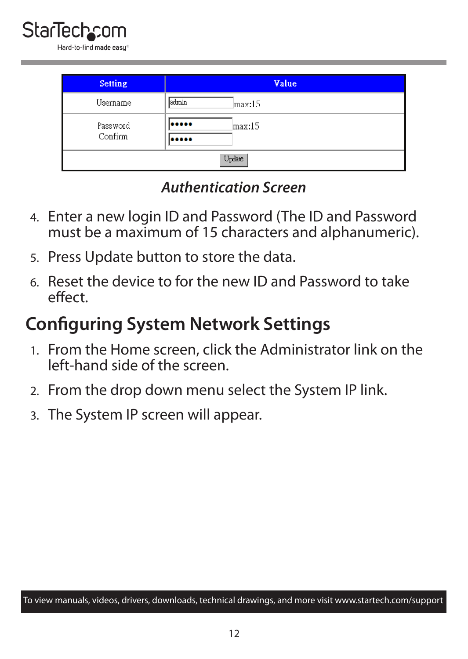<span id="page-12-0"></span>

| <b>Setting</b> | Value           |  |
|----------------|-----------------|--|
| Username       | admin<br>max:15 |  |
| Password       | <br>max:15      |  |
| Confirm        |                 |  |
| Update         |                 |  |

#### *Authentication Screen*

- 4. Enter a new login ID and Password (The ID and Password must be a maximum of 15 characters and alphanumeric).
- 5. Press Update button to store the data.
- 6. Reset the device to for the new ID and Password to take effect.

### **Configuring System Network Settings**

- 1. From the Home screen, click the Administrator link on the left-hand side of the screen.
- 2. From the drop down menu select the System IP link.
- 3. The System IP screen will appear.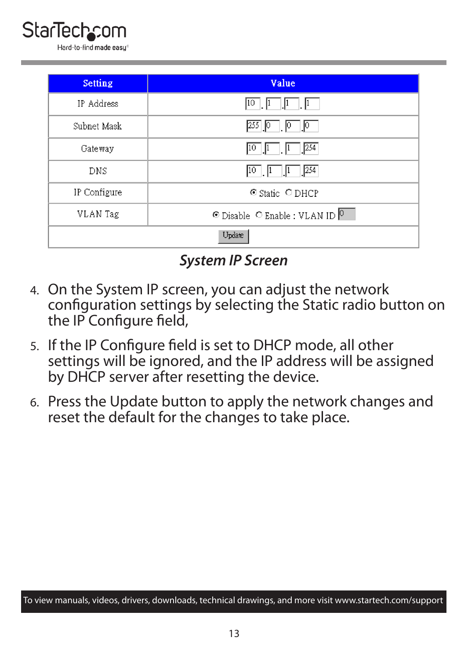

| <b>Setting</b> | Value                                             |  |
|----------------|---------------------------------------------------|--|
| IP Address     | 10<br>$\mathbf{u}$<br>$\mathbf{\mu}$              |  |
| Subnet Mask    | 255<br>$\mathbf{P}$<br>ΙV<br>∟  ∪ ⊣               |  |
| Gateway        | $\boxed{1}$ $\boxed{254}$<br>10<br>$\vert$ 1      |  |
| DNS            | 254<br> 10<br>$\mathbb{I}^1$<br>$\mathbf{u}$      |  |
| IP Configure   | © Static ODHCP                                    |  |
| VLAN Tag       | © Disable C Enable : VLAN ID $\vert$ <sup>0</sup> |  |
| Update         |                                                   |  |

*System IP Screen*

- 4. On the System IP screen, you can adjust the network configuration settings by selecting the Static radio button on the IP Configure field,
- 5. If the IP Configure field is set to DHCP mode, all other settings will be ignored, and the IP address will be assigned by DHCP server after resetting the device.
- 6. Press the Update button to apply the network changes and reset the default for the changes to take place.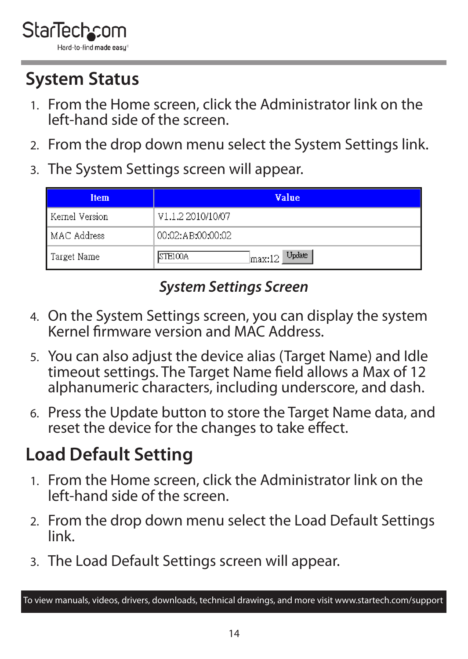<span id="page-14-0"></span>

## **System Status**

- 1. From the Home screen, click the Administrator link on the left-hand side of the screen.
- 2. From the drop down menu select the System Settings link.
- 3. The System Settings screen will appear.

| <b>Item</b>    | Value                      |  |  |
|----------------|----------------------------|--|--|
| Kernel Version | V1.1.2 2010/10/07          |  |  |
| MAC Address    | 00:02:AB:00:00:02          |  |  |
| Target Name    | $max:12$ Update<br>STE100A |  |  |

#### *System Settings Screen*

- 4. On the System Settings screen, you can display the system Kernel firmware version and MAC Address.
- 5. You can also adjust the device alias (Target Name) and Idle timeout settings. The Target Name field allows a Max of 12 alphanumeric characters, including underscore, and dash.
- 6. Press the Update button to store the Target Name data, and reset the device for the changes to take effect.

## **Load Default Setting**

- 1. From the Home screen, click the Administrator link on the left-hand side of the screen.
- 2. From the drop down menu select the Load Default Settings link.
- 3. The Load Default Settings screen will appear.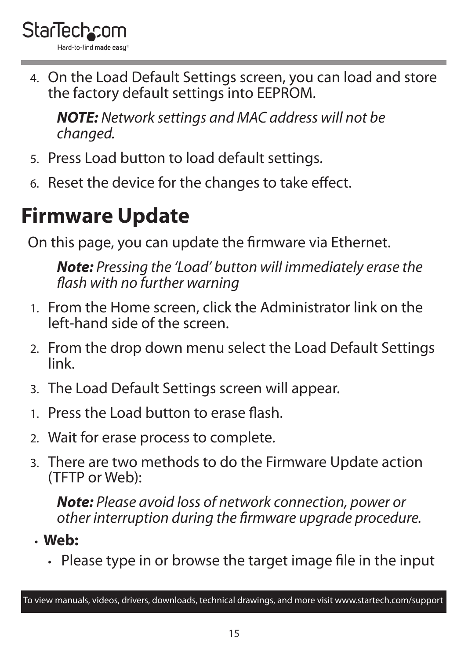<span id="page-15-0"></span>

4. On the Load Default Settings screen, you can load and store the factory default settings into EEPROM.

*NOTE: Network settings and MAC address will not be changed.*

- 5. Press Load button to load default settings.
- 6. Reset the device for the changes to take effect.

## **Firmware Update**

On this page, you can update the firmware via Ethernet.

*Note: Pressing the 'Load' button will immediately erase the flash with no further warning*

- 1. From the Home screen, click the Administrator link on the left-hand side of the screen.
- 2. From the drop down menu select the Load Default Settings link.
- 3. The Load Default Settings screen will appear.
- 1. Press the Load button to erase flash.
- 2. Wait for erase process to complete.
- 3. There are two methods to do the Firmware Update action (TFTP or Web):

*Note: Please avoid loss of network connection, power or other interruption during the firmware upgrade procedure.*

• **Web:**

• Please type in or browse the target image file in the input

To view manuals, videos, drivers, downloads, technical drawings, and more visit www.startech.com/support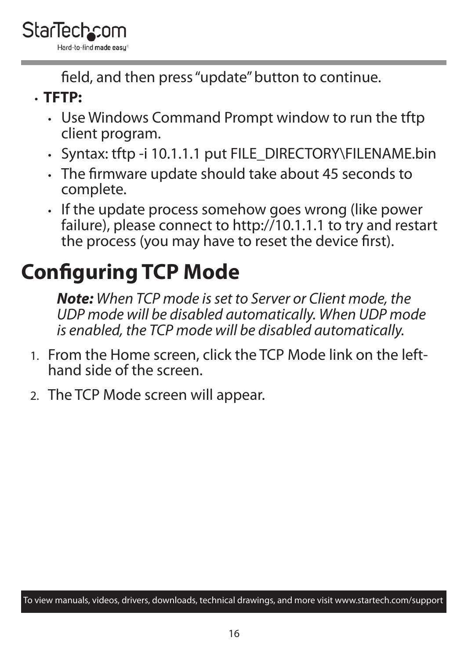<span id="page-16-0"></span>field, and then press "update" button to continue.

- **TFTP:**
	- Use Windows Command Prompt window to run the tftp client program.
	- Syntax: tftp -i 10.1.1.1 put FILE\_DIRECTORY\FILENAME.bin
	- The firmware update should take about 45 seconds to complete.
	- If the update process somehow goes wrong (like power failure), please connect to http://10.1.1.1 to try and restart the process (you may have to reset the device first).

# **Configuring TCP Mode**

*Note: When TCP mode is set to Server or Client mode, the UDP mode will be disabled automatically. When UDP mode is enabled, the TCP mode will be disabled automatically.*

- 1. From the Home screen, click the TCP Mode link on the lefthand side of the screen.
- 2. The TCP Mode screen will appear.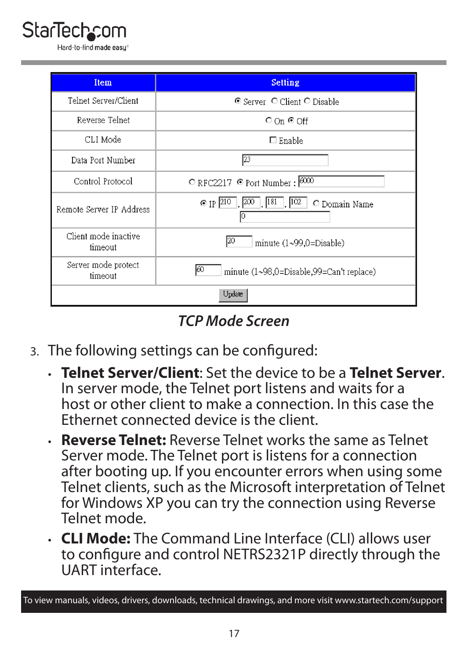# **StarTecho**

| <b>Item</b>                     | <b>Setting</b>                                               |  |  |
|---------------------------------|--------------------------------------------------------------|--|--|
| Telnet Server/Client            | © Server O Client O Disable                                  |  |  |
| Reverse Telnet                  | $\circ$ On $\circ$ Off                                       |  |  |
| CLI Mode                        | $\Box$ Enable                                                |  |  |
| Data Port Number                | 23                                                           |  |  |
| Control Protocol                | $\degree$ RFC2217 $\degree$ Port Number: $\frac{6000}{2000}$ |  |  |
| Remote Server IP Address        | 181<br>$\odot$ [P $210$<br>102<br>O Domain Name              |  |  |
| Client mode inactive<br>timeout | 120<br>minute (1~99,0=Disable)                               |  |  |
| Server mode protect<br>timeout  | 60<br>minute (1~98,0=Disable,99=Can't replace)               |  |  |
|                                 | Update                                                       |  |  |

*TCP Mode Screen*

- 3. The following settings can be configured:
	- **Telnet Server/Client**: Set the device to be a **Telnet Server**. In server mode, the Telnet port listens and waits for a host or other client to make a connection. In this case the Ethernet connected device is the client.
	- **Reverse Telnet:** Reverse Telnet works the same as Telnet Server mode. The Telnet port is listens for a connection after booting up. If you encounter errors when using some Telnet clients, such as the Microsoft interpretation of Telnet for Windows XP you can try the connection using Reverse Telnet mode.
	- **CLI Mode:** The Command Line Interface (CLI) allows user to configure and control NETRS2321P directly through the UART interface.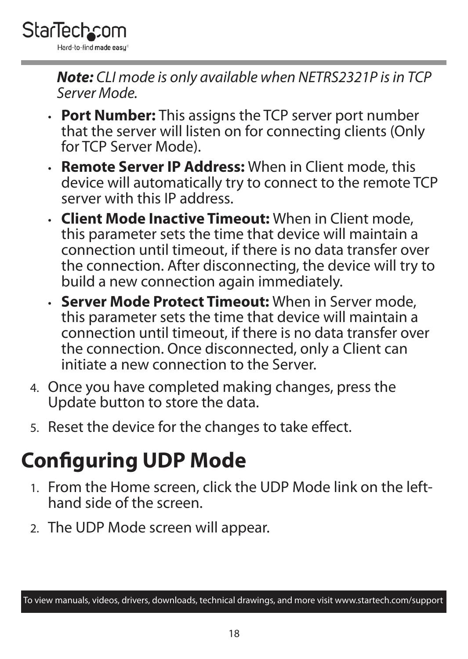<span id="page-18-0"></span>

*Note: CLI mode is only available when NETRS2321P is in TCP Server Mode.*

- **Port Number:** This assigns the TCP server port number that the server will listen on for connecting clients (Only for TCP Server Mode).
- **Remote Server IP Address:** When in Client mode, this device will automatically try to connect to the remote TCP server with this IP address.
- **Client Mode Inactive Timeout:** When in Client mode, this parameter sets the time that device will maintain a connection until timeout, if there is no data transfer over the connection. After disconnecting, the device will try to build a new connection again immediately.
- **Server Mode Protect Timeout:** When in Server mode, this parameter sets the time that device will maintain a connection until timeout, if there is no data transfer over the connection. Once disconnected, only a Client can initiate a new connection to the Server.
- 4. Once you have completed making changes, press the Update button to store the data.
- 5. Reset the device for the changes to take effect.

## **Configuring UDP Mode**

- 1. From the Home screen, click the UDP Mode link on the lefthand side of the screen.
- 2. The UDP Mode screen will appear.

To view manuals, videos, drivers, downloads, technical drawings, and more visit www.startech.com/support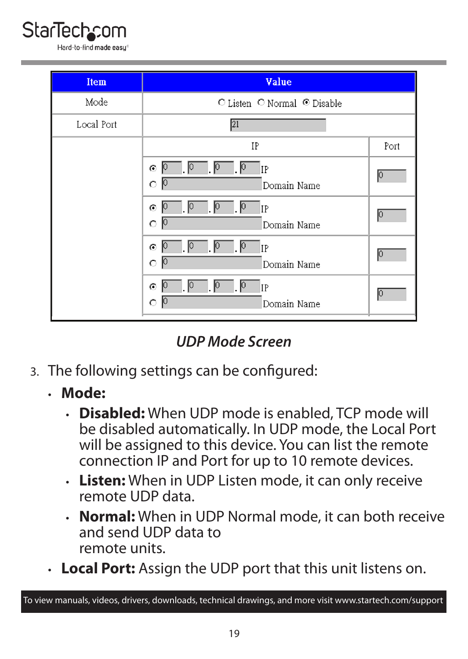



*UDP Mode Screen*

- 3. The following settings can be configured:
	- **Mode:**
		- **Disabled:** When UDP mode is enabled, TCP mode will be disabled automatically. In UDP mode, the Local Port will be assigned to this device. You can list the remote connection IP and Port for up to 10 remote devices.
		- **Listen:** When in UDP Listen mode, it can only receive remote UDP data.
		- **Normal:** When in UDP Normal mode, it can both receive and send UDP data to remote units.
	- **Local Port:** Assign the UDP port that this unit listens on.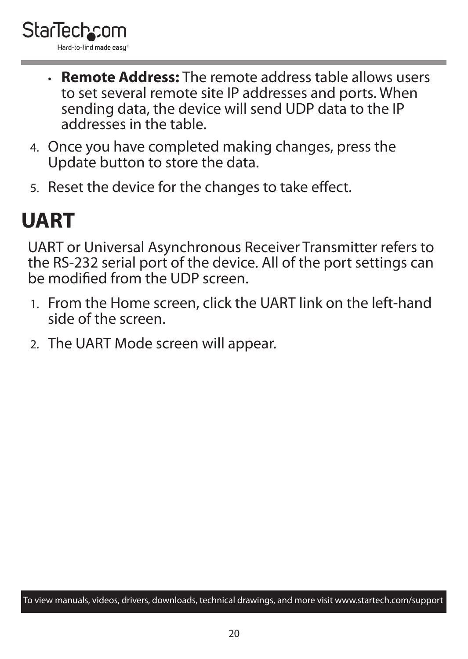- <span id="page-20-0"></span>• **Remote Address:** The remote address table allows users to set several remote site IP addresses and ports. When sending data, the device will send UDP data to the IP addresses in the table.
- 4. Once you have completed making changes, press the Update button to store the data.
- 5. Reset the device for the changes to take effect.

## **UART**

UART or Universal Asynchronous Receiver Transmitter refers to the RS-232 serial port of the device. All of the port settings can be modified from the UDP screen.

- 1. From the Home screen, click the UART link on the left-hand side of the screen.
- 2. The UART Mode screen will appear.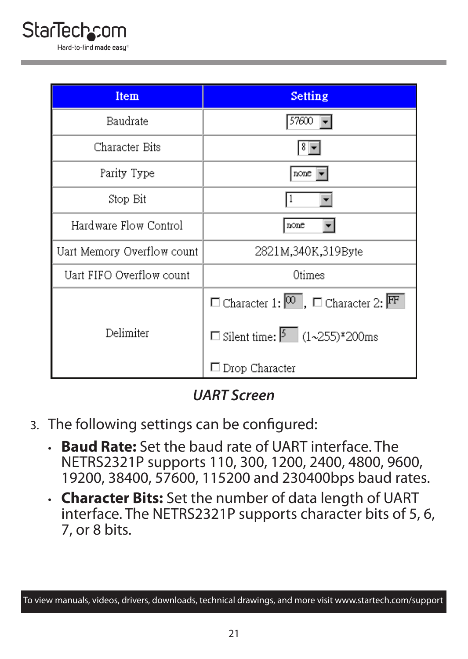| Item                       | <b>Setting</b>                                                              |
|----------------------------|-----------------------------------------------------------------------------|
| Baudrate                   | 57600                                                                       |
| Character Bits             |                                                                             |
| Parity Type                | none                                                                        |
| Stop Bit                   |                                                                             |
| Hardware Flow Control      | none                                                                        |
| Uart Memory Overflow count | 2821M,340K,319Byte                                                          |
| Uart FIFO Overflow count   | Otimes                                                                      |
|                            | $\Box$ Character 1: $\overline{^{00}}$ , $\Box$ Character 2: $\overline{F}$ |
| Delimiter                  | □ Silent time: $\boxed{5}$ (1~255)*200ms                                    |
|                            | $\Box$ Drop Character                                                       |

*UART Screen*

- 3. The following settings can be configured:
	- **Baud Rate:** Set the baud rate of UART interface. The NETRS2321P supports 110, 300, 1200, 2400, 4800, 9600, 19200, 38400, 57600, 115200 and 230400bps baud rates.
	- **Character Bits:** Set the number of data length of UART interface. The NETRS2321P supports character bits of 5, 6, 7, or 8 bits.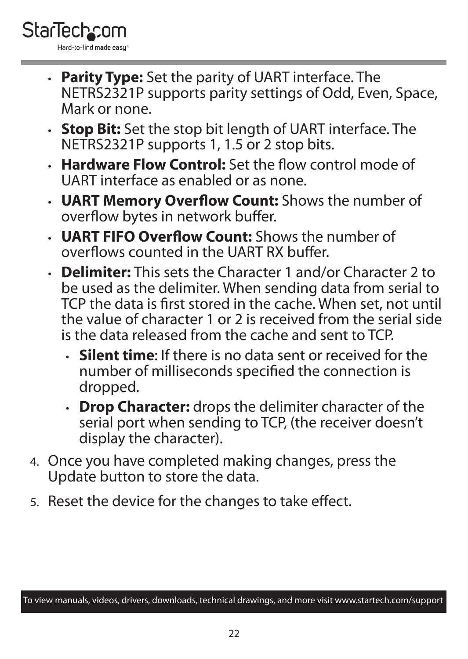

- **Parity Type:** Set the parity of UART interface. The NETRS2321P supports parity settings of Odd, Even, Space, Mark or none.
- **Stop Bit:** Set the stop bit length of UART interface. The NETRS2321P supports 1, 1.5 or 2 stop bits.
- **Hardware Flow Control:** Set the flow control mode of UART interface as enabled or as none.
- **UART Memory Overflow Count:** Shows the number of overflow bytes in network buffer.
- **UART FIFO Overflow Count:** Shows the number of overflows counted in the UART RX buffer.
- **Delimiter:** This sets the Character 1 and/or Character 2 to be used as the delimiter. When sending data from serial to TCP the data is first stored in the cache. When set, not until the value of character 1 or 2 is received from the serial side is the data released from the cache and sent to TCP.
	- **Silent time**: If there is no data sent or received for the number of milliseconds specified the connection is dropped.
	- **Drop Character:** drops the delimiter character of the serial port when sending to TCP, (the receiver doesn't display the character).
- 4. Once you have completed making changes, press the Update button to store the data.
- 5. Reset the device for the changes to take effect.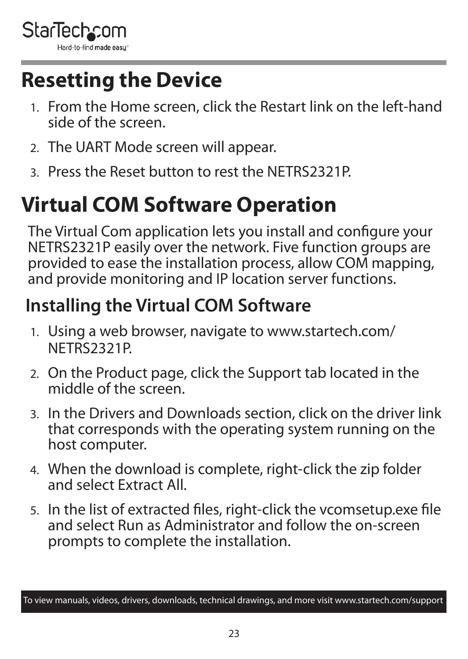<span id="page-23-0"></span>

## **Resetting the Device**

- 1. From the Home screen, click the Restart link on the left-hand side of the screen.
- 2. The UART Mode screen will appear.
- 3. Press the Reset button to rest the NETRS2321P.

## **Virtual COM Software Operation**

The Virtual Com application lets you install and configure your NETRS2321P easily over the network. Five function groups are provided to ease the installation process, allow COM mapping, and provide monitoring and IP location server functions.

### **Installing the Virtual COM Software**

- 1. Using a web browser, navigate to www.startech.com/ NETRS2321P.
- 2. On the Product page, click the Support tab located in the middle of the screen.
- 3. In the Drivers and Downloads section, click on the driver link that corresponds with the operating system running on the host computer.
- 4. When the download is complete, right-click the zip folder and select Extract All.
- 5. In the list of extracted files, right-click the vcomsetup.exe file and select Run as Administrator and follow the on-screen prompts to complete the installation.

To view manuals, videos, drivers, downloads, technical drawings, and more visit www.startech.com/support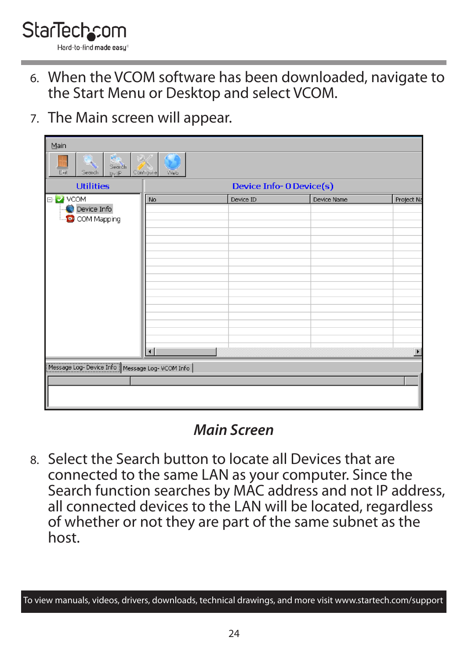- 6. When the VCOM software has been downloaded, navigate to the Start Menu or Desktop and select VCOM.
- 7. The Main screen will appear.

| Main                                                |                          |           |             |                       |
|-----------------------------------------------------|--------------------------|-----------|-------------|-----------------------|
| Search<br>Exit<br>Search<br>bvIP                    | Configure<br>Web         |           |             |                       |
| <b>Utilities</b>                                    | Device Info- 0 Device(s) |           |             |                       |
| ⊟ <mark>⊘ VCOM</mark><br>Device Info<br>COM Mapping | No                       | Device ID | Device Name | Project Na            |
| Message Log-Device Info   Message Log- VCOM Info    | ыI                       |           |             | $\blacktriangleright$ |

#### *Main Screen*

8. Select the Search button to locate all Devices that are connected to the same LAN as your computer. Since the Search function searches by MAC address and not IP address, all connected devices to the LAN will be located, regardless of whether or not they are part of the same subnet as the host.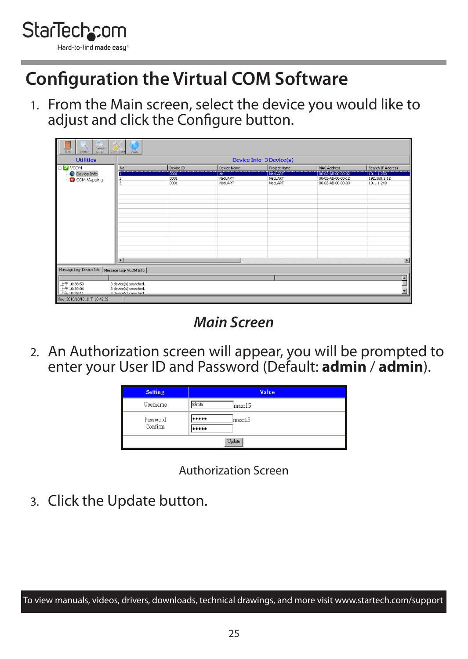<span id="page-25-0"></span>

### **Configuration the Virtual COM Software**

1. From the Main screen, select the device you would like to adiust and click the Configure button.

| <b>Utilities</b> |                                                 | Device Info-3 Device(s) |                          |                |                   |                   |  |  |
|------------------|-------------------------------------------------|-------------------------|--------------------------|----------------|-------------------|-------------------|--|--|
| E NOOM           | No.                                             | Device ID               | Device Name              | Protect Name   | MAC Address       | Search IP Address |  |  |
| Device Info      |                                                 | 0001                    | $\overline{\mathcal{M}}$ | <b>NetUART</b> | 00-02-48-00-00-02 | 10.1.1.250        |  |  |
| COMMapping       |                                                 | 0001                    | <b>NetLIART</b>          | NetLIART       | 00-02-AB-00-00-12 | 192.168.2.12      |  |  |
|                  |                                                 | 0001                    | NetLIART                 | NetUART        | 00-02-AB-00-00-03 | 10.1.1.249        |  |  |
|                  |                                                 |                         |                          |                |                   |                   |  |  |
|                  |                                                 |                         |                          |                |                   |                   |  |  |
|                  |                                                 |                         |                          |                |                   |                   |  |  |
|                  |                                                 |                         |                          |                |                   |                   |  |  |
|                  |                                                 |                         |                          |                |                   |                   |  |  |
|                  |                                                 |                         |                          |                |                   |                   |  |  |
|                  |                                                 |                         |                          |                |                   |                   |  |  |
|                  |                                                 |                         |                          |                |                   |                   |  |  |
|                  |                                                 |                         |                          |                |                   |                   |  |  |
|                  |                                                 |                         |                          |                |                   |                   |  |  |
|                  |                                                 |                         |                          |                |                   |                   |  |  |
|                  |                                                 |                         |                          |                |                   |                   |  |  |
|                  |                                                 |                         |                          |                |                   |                   |  |  |
|                  |                                                 |                         |                          |                |                   |                   |  |  |
|                  | la                                              |                         |                          |                |                   |                   |  |  |
|                  |                                                 |                         |                          |                |                   | ø                 |  |  |
|                  | Message Log-Device Info   Message Log-VCOM Info |                         |                          |                |                   |                   |  |  |
|                  |                                                 |                         |                          |                |                   |                   |  |  |
| 上午10:38:59       | 3 device(s) searched.                           |                         |                          |                |                   |                   |  |  |
| 上午 10:39:06      | 3 device(s) searched.                           |                         |                          |                |                   |                   |  |  |
|                  | 3 destrate) caserbari                           |                         |                          |                |                   |                   |  |  |

*Main Screen*

2. An Authorization screen will appear, you will be prompted to enter your User ID and Password (Default: **admin** / **admin**).

| <b>Setting</b> |       | Value  |  |  |
|----------------|-------|--------|--|--|
| Username       | admin | max:15 |  |  |
| Password       |       | max:15 |  |  |
| Confirm        |       |        |  |  |
| Update         |       |        |  |  |

Authorization Screen

3. Click the Update button.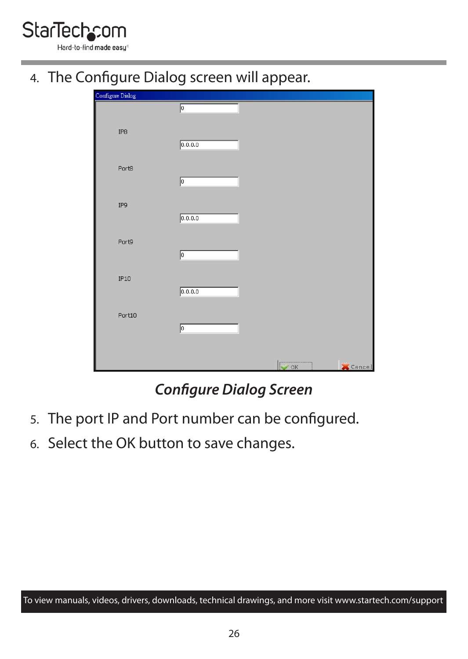

4. The Configure Dialog screen will appear.

| Configure Dialog |         |                     |
|------------------|---------|---------------------|
|                  | p       |                     |
| IP8              | 0.0.0.0 |                     |
| Port8            | p       |                     |
| IP9              | 0.0.0.0 |                     |
| Port9            | p       |                     |
| IP10             | 0.0.0.0 |                     |
| Port10           | p       |                     |
|                  |         | $\sim$ OK<br>Cancel |

#### *Configure Dialog Screen*

- 5. The port IP and Port number can be configured.
- 6. Select the OK button to save changes.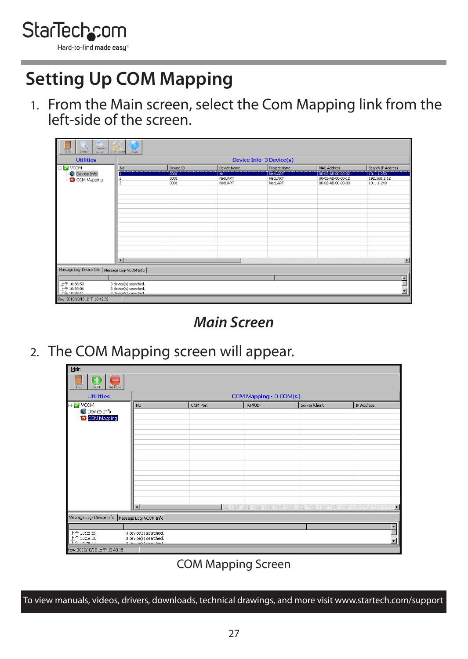<span id="page-27-0"></span>

### **Setting Up COM Mapping**

1. From the Main screen, select the Com Mapping link from the left-side of the screen.

| Seach<br>EHR<br>Search<br>$N_{\rm c}$ (D)                                                                                      | Contigued Vieb          |           |                             |                |                   |                   |  |
|--------------------------------------------------------------------------------------------------------------------------------|-------------------------|-----------|-----------------------------|----------------|-------------------|-------------------|--|
| <b>Utilities</b>                                                                                                               | Device Info-3 Device(s) |           |                             |                |                   |                   |  |
| E Z VCOM                                                                                                                       | N <sub>0</sub>          | Device ID | Device Name                 | Protect Name   | MAC Address       | Search IP Address |  |
| Device Info                                                                                                                    |                         | 0001      | $\overline{\boldsymbol{r}}$ | <b>NetUART</b> | 00-02-AB-00-00-02 | 10.1.1.250        |  |
| COM Mapping                                                                                                                    | Iź                      | 0001      | <b>NetLIART</b>             | NetLIART       | 00-02-AB-00-00-12 | 192.168.2.12      |  |
|                                                                                                                                | ٨                       | 0001      | NetLIART                    | NetLIART       | 00-02-AB-00-00-03 | 10.1.1.249        |  |
|                                                                                                                                |                         |           |                             |                |                   |                   |  |
|                                                                                                                                |                         |           |                             |                |                   |                   |  |
|                                                                                                                                |                         |           |                             |                |                   |                   |  |
|                                                                                                                                |                         |           |                             |                |                   |                   |  |
|                                                                                                                                |                         |           |                             |                |                   |                   |  |
|                                                                                                                                |                         |           |                             |                |                   |                   |  |
|                                                                                                                                |                         |           |                             |                |                   |                   |  |
|                                                                                                                                |                         |           |                             |                |                   |                   |  |
|                                                                                                                                |                         |           |                             |                |                   |                   |  |
|                                                                                                                                |                         |           |                             |                |                   |                   |  |
|                                                                                                                                |                         |           |                             |                |                   |                   |  |
|                                                                                                                                |                         |           |                             |                |                   |                   |  |
|                                                                                                                                |                         |           |                             |                |                   |                   |  |
|                                                                                                                                | lя<br>ъ                 |           |                             |                |                   |                   |  |
| Message Log-Device Info   Message Log-VCOM Info                                                                                |                         |           |                             |                |                   |                   |  |
|                                                                                                                                |                         |           |                             |                |                   |                   |  |
| $\begin{array}{ l }\n\hline\n\text{E4} & 10:30:59 \\ \hline\n\text{E4} & 10:39:06 \\ \hline\n\text{E4} & 10:39:0\n\end{array}$ | 3 device(s) searched.   |           |                             |                |                   |                   |  |
|                                                                                                                                | 3 device(s) searched.   |           |                             |                |                   |                   |  |
|                                                                                                                                | 3 destrate) cancelsed   |           |                             |                |                   |                   |  |
| Now: 2010/10/18 上午 10:42:32                                                                                                    |                         |           |                             |                |                   |                   |  |

*Main Screen*

2. The COM Mapping screen will appear.

| Main                                            |                                                                         |          |                        |               |            |
|-------------------------------------------------|-------------------------------------------------------------------------|----------|------------------------|---------------|------------|
| <b>Ext</b><br>4.11<br>Renow                     |                                                                         |          |                        |               |            |
| <b>Utilities</b>                                |                                                                         |          | COM Mapping - 0 COM(s) |               |            |
| EI- <mark>M VCOM</mark>                         | <b>No</b>                                                               | COM Port | <b>TCP/UDP</b>         | Sorver/Client | IP Address |
| C Device Info<br>D SEM Magning                  |                                                                         |          |                        |               |            |
|                                                 |                                                                         |          |                        |               |            |
|                                                 |                                                                         |          |                        |               |            |
|                                                 |                                                                         |          |                        |               |            |
|                                                 | lяı                                                                     |          |                        |               | F          |
| Message Log-Device Info   Message Log-VCCN Info |                                                                         |          |                        |               |            |
|                                                 |                                                                         |          |                        |               |            |
| 上午10:35:59<br>上午10:39.06                        | 3 device(s) searched.<br>3 device(s) searched.<br>h desire/s) searched. |          |                        |               | ×          |
| <b>Mountained FAS 108216</b>                    |                                                                         |          |                        |               |            |

#### COM Mapping Screen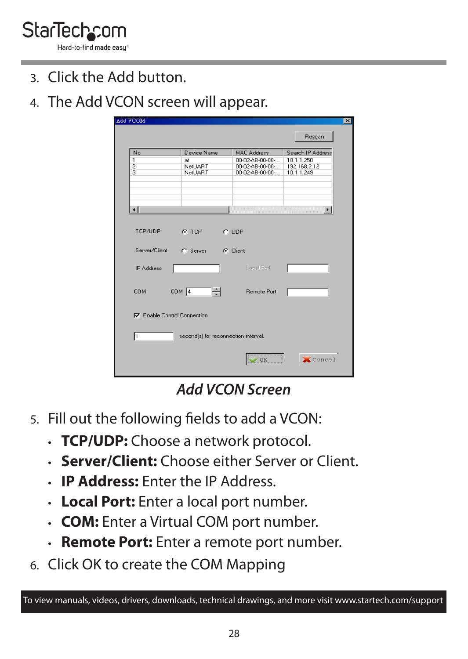

- 3. Click the Add button.
- 4. The Add VCON screen will appear.

|                          |                                                  |                                    | Rescan                     |
|--------------------------|--------------------------------------------------|------------------------------------|----------------------------|
| No                       | Device Name                                      | <b>MAC Address</b>                 | Search IP Address          |
| 1                        | at                                               | 00-02-AB-00-00-                    | 10.1.1.250<br>192.168.2.12 |
| $\overline{c}$           | NetUART<br>NetLIART                              | 00-02-AB-00-00-<br>00-02-AB-00-00- | 10.1.1.249                 |
|                          |                                                  |                                    | <b>IF</b>                  |
|                          | $C$ TCP                                          | $C$ UDP                            |                            |
| TCP/UDP<br>Server/Client | C. Server                                        | G Client                           |                            |
| <b>IP Address</b>        |                                                  | <b>Local Port</b>                  |                            |
|                          | COM 4<br>품<br><b>V</b> Enable Control Connection | <b>Remote Port</b>                 |                            |
| <b>COM</b>               |                                                  |                                    |                            |
| l1                       | second(s) for reconnection interval.             |                                    |                            |

*Add VCON Screen*

- 5. Fill out the following fields to add a VCON:
	- **TCP/UDP:** Choose a network protocol.
	- **Server/Client:** Choose either Server or Client.
	- **IP Address:** Enter the IP Address.
	- **Local Port:** Enter a local port number.
	- **COM:** Enter a Virtual COM port number.
	- **Remote Port:** Enter a remote port number.
- 6. Click OK to create the COM Mapping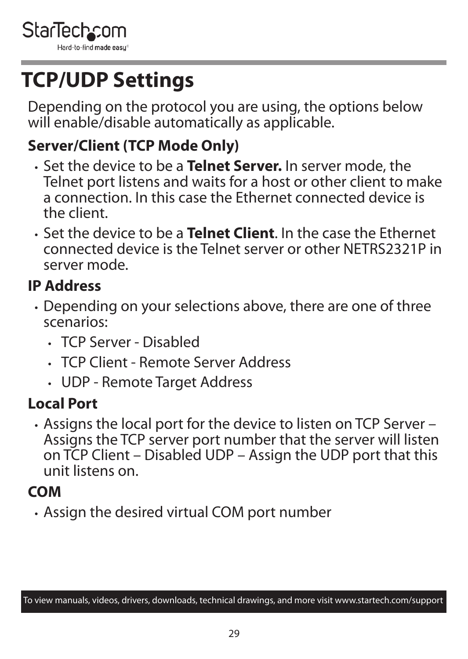<span id="page-29-0"></span>

## **TCP/UDP Settings**

Depending on the protocol you are using, the options below will enable/disable automatically as applicable.

#### **Server/Client (TCP Mode Only)**

- Set the device to be a **Telnet Server.** In server mode, the Telnet port listens and waits for a host or other client to make a connection. In this case the Ethernet connected device is the client.
- Set the device to be a **Telnet Client**. In the case the Ethernet connected device is the Telnet server or other NETRS2321P in server mode.

#### **IP Address**

- Depending on your selections above, there are one of three scenarios:
	- TCP Server Disabled
	- TCP Client Remote Server Address
	- UDP Remote Target Address

#### **Local Port**

• Assigns the local port for the device to listen on TCP Server – Assigns the TCP server port number that the server will listen on TCP Client – Disabled UDP – Assign the UDP port that this unit listens on.

#### **COM**

• Assign the desired virtual COM port number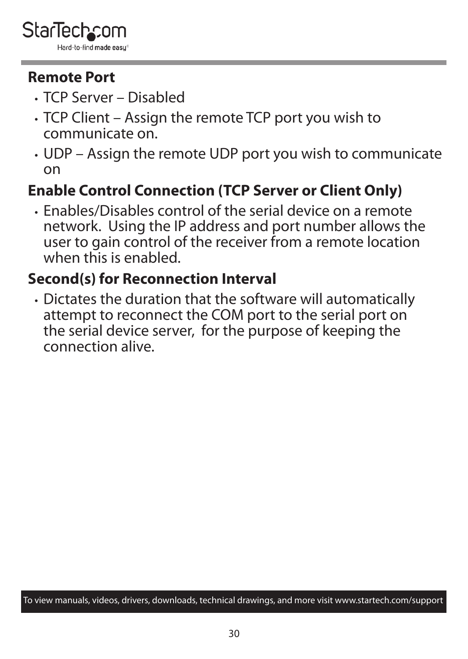#### **Remote Port**

- TCP Server Disabled
- TCP Client Assign the remote TCP port you wish to communicate on.
- UDP Assign the remote UDP port you wish to communicate on

### **Enable Control Connection (TCP Server or Client Only)**

• Enables/Disables control of the serial device on a remote network. Using the IP address and port number allows the user to gain control of the receiver from a remote location when this is enabled.

#### **Second(s) for Reconnection Interval**

• Dictates the duration that the software will automatically attempt to reconnect the COM port to the serial port on the serial device server, for the purpose of keeping the connection alive.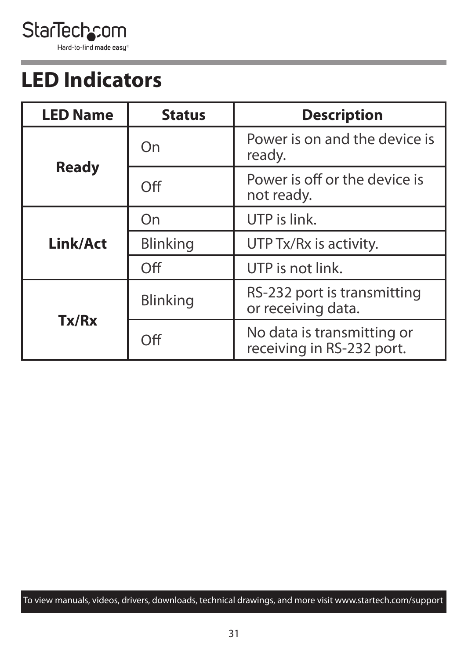<span id="page-31-0"></span>StarTechcom Hard-to-find made easy

## **LED Indicators**

| <b>LED Name</b> | <b>Status</b> | <b>Description</b>                                      |  |  |
|-----------------|---------------|---------------------------------------------------------|--|--|
|                 | On            | Power is on and the device is<br>ready.                 |  |  |
| <b>Ready</b>    | Off           | Power is off or the device is<br>not ready.             |  |  |
|                 | On            | UTP is link.                                            |  |  |
| Link/Act        | Blinking      | UTP Tx/Rx is activity.                                  |  |  |
|                 | Off           | UTP is not link.                                        |  |  |
|                 | Blinking      | RS-232 port is transmitting<br>or receiving data.       |  |  |
| Tx/Rx           | Off           | No data is transmitting or<br>receiving in RS-232 port. |  |  |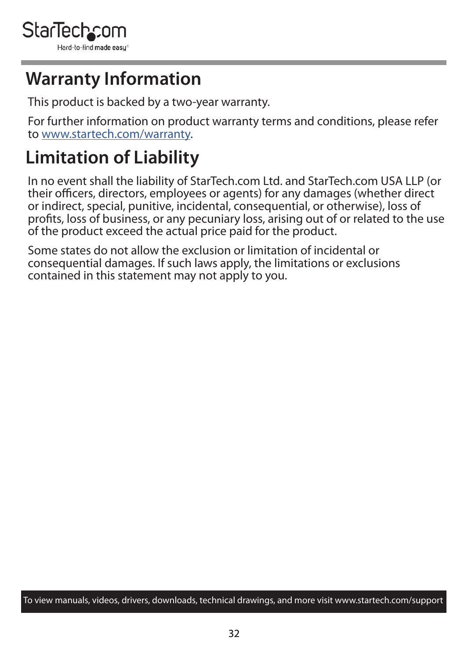

### **Warranty Information**

This product is backed by a two-year warranty.

For further information on product warranty terms and conditions, please refer to [www.startech.com/warranty](http://www.startech.com/warranty).

## **Limitation of Liability**

In no event shall the liability of StarTech.com Ltd. and StarTech.com USA LLP (or their officers, directors, employees or agents) for any damages (whether direct or indirect, special, punitive, incidental, consequential, or otherwise), loss of profits, loss of business, or any pecuniary loss, arising out of or related to the use of the product exceed the actual price paid for the product.

Some states do not allow the exclusion or limitation of incidental or consequential damages. If such laws apply, the limitations or exclusions contained in this statement may not apply to you.